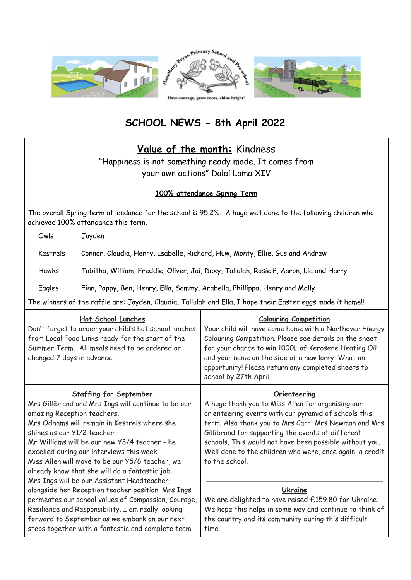

# **SCHOOL NEWS - 8th April 2022**

## **Value of the month:** Kindness

"Happiness is not something ready made. It comes from your own actions" Dalai Lama XIV

### **100% attendance Spring Term**

The overall Spring term attendance for the school is 95.2%. A huge well done to the following children who achieved 100% attendance this term.

Owls Jayden

Kestrels Connor, Claudia, Henry, Isabelle, Richard, Huw, Monty, Ellie, Gus and Andrew

Hawks Tabitha, William, Freddie, Oliver, Jai, Dexy, Tallulah, Rosie P, Aaron, Lia and Harry

Eagles Finn, Poppy, Ben, Henry, Ella, Sammy, Arabella, Phillippa, Henry and Molly

The winners of the raffle are: Jayden, Claudia, Tallulah and Ella, I hope their Easter eggs made it home!!!

| Hot School Lunches<br>Don't forget to order your child's hot school lunches<br>from Local Food Links ready for the start of the<br>Summer Term. All meals need to be ordered or<br>changed 7 days in advance.                                                                                                                                                                                                                                        | <b>Colouring Competition</b><br>Your child will have come home with a Northover Energy<br>Colouring Competition. Please see details on the sheet<br>for your chance to win 1000L of Kerosene Heating Oil<br>and your name on the side of a new lorry. What an<br>opportunity! Please return any completed sheets to<br>school by 27th April.                                    |
|------------------------------------------------------------------------------------------------------------------------------------------------------------------------------------------------------------------------------------------------------------------------------------------------------------------------------------------------------------------------------------------------------------------------------------------------------|---------------------------------------------------------------------------------------------------------------------------------------------------------------------------------------------------------------------------------------------------------------------------------------------------------------------------------------------------------------------------------|
| <b>Staffing for September</b><br>Mrs Gillibrand and Mrs Ings will continue to be our<br>amazing Reception teachers.<br>Mrs Odhams will remain in Kestrels where she<br>shines as our Y1/2 teacher.<br>Mr Williams will be our new Y3/4 teacher - he<br>excelled during our interviews this week.<br>Miss Allen will move to be our Y5/6 teacher, we<br>already know that she will do a fantastic job.<br>Mrs Ings will be our Assistant Headteacher, | Orienteering<br>A huge thank you to Miss Allen for organising our<br>orienteering events with our pyramid of schools this<br>term. Also thank you to Mrs Carr, Mrs Newman and Mrs<br>Gillibrand for supporting the events at different<br>schools. This would not have been possible without you.<br>Well done to the children who were, once again, a credit<br>to the school. |
| alongside her Reception teacher position. Mrs Ings<br>permeates our school values of Compassion, Courage,<br>Resilience and Responsibility. I am really looking<br>forward to September as we embark on our next<br>steps together with a fantastic and complete team.                                                                                                                                                                               | Ukraine<br>We are delighted to have raised £159.80 for Ukraine.<br>We hope this helps in some way and continue to think of<br>the country and its community during this difficult<br>time.                                                                                                                                                                                      |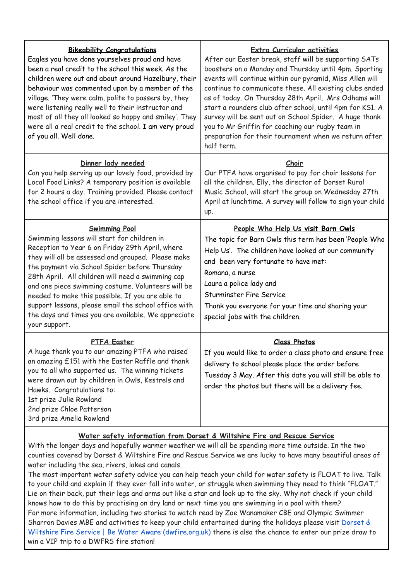| <b>Bikeability Congratulations</b><br>Eagles you have done yourselves proud and have<br>been a real credit to the school this week. As the<br>children were out and about around Hazelbury, their<br>behaviour was commented upon by a member of the<br>village. 'They were calm, polite to passers by, they<br>were listening really well to their instructor and<br>most of all they all looked so happy and smiley'. They<br>were all a real credit to the school. I am very proud<br>of you all. Well done.              | <b>Extra Curricular activities</b><br>After our Easter break, staff will be supporting SATs<br>boosters on a Monday and Thursday until 4pm. Sporting<br>events will continue within our pyramid, Miss Allen will<br>continue to communicate these. All existing clubs ended<br>as of today. On Thursday 28th April, Mrs Odhams will<br>start a rounders club after school, until 4pm for KS1. A<br>survey will be sent out on School Spider. A huge thank<br>you to Mr Griffin for coaching our rugby team in<br>preparation for their tournament when we return after<br>half term. |
|------------------------------------------------------------------------------------------------------------------------------------------------------------------------------------------------------------------------------------------------------------------------------------------------------------------------------------------------------------------------------------------------------------------------------------------------------------------------------------------------------------------------------|--------------------------------------------------------------------------------------------------------------------------------------------------------------------------------------------------------------------------------------------------------------------------------------------------------------------------------------------------------------------------------------------------------------------------------------------------------------------------------------------------------------------------------------------------------------------------------------|
| Dinner lady needed<br>Can you help serving up our lovely food, provided by<br>Local Food Links? A temporary position is available<br>for 2 hours a day. Training provided. Please contact<br>the school office if you are interested.                                                                                                                                                                                                                                                                                        | <u>Choir</u><br>Our PTFA have organised to pay for choir lessons for<br>all the children. Elly, the director of Dorset Rural<br>Music School, will start the group on Wednesday 27th<br>April at lunchtime. A survey will follow to sign your child<br>up.                                                                                                                                                                                                                                                                                                                           |
| <b>Swimming Pool</b><br>Swimming lessons will start for children in<br>Reception to Year 6 on Friday 29th April, where<br>they will all be assessed and grouped. Please make<br>the payment via School Spider before Thursday<br>28th April. All children will need a swimming cap<br>and one piece swimming costume. Volunteers will be<br>needed to make this possible. If you are able to<br>support lessons, please email the school office with<br>the days and times you are available. We appreciate<br>your support. | People Who Help Us visit Barn Owls<br>The topic for Barn Owls this term has been 'People Who<br>Help Us'. The children have looked at our community<br>and been very fortunate to have met:<br>Romana, a nurse<br>Laura a police lady and<br><b>Sturminster Fire Service</b><br>Thank you everyone for your time and sharing your<br>special jobs with the children.                                                                                                                                                                                                                 |
| PTFA Easter<br>A huge thank you to our amazing PTFA who raised<br>an amazing £151 with the Easter Raffle and thank<br>you to all who supported us. The winning tickets<br>were drawn out by children in Owls, Kestrels and<br>Hawks. Congratulations to:<br>1st prize Julie Rowland<br>2nd prize Chloe Patterson<br>3rd prize Amelia Rowland                                                                                                                                                                                 | <b>Class Photos</b><br>If you would like to order a class photo and ensure free<br>delivery to school please place the order before<br>Tuesday 3 May. After this date you will still be able to<br>order the photos but there will be a delivery fee.                                                                                                                                                                                                                                                                                                                                |

#### **Water safety information from Dorset & Wiltshire Fire and Rescue Service**

With the longer days and hopefully warmer weather we will all be spending more time outside. In the two counties covered by Dorset & Wiltshire Fire and Rescue Service we are lucky to have many beautiful areas of water including the sea, rivers, lakes and canals.

The most important water safety advice you can help teach your child for water safety is FLOAT to live. Talk to your child and explain if they ever fall into water, or struggle when swimming they need to think "FLOAT." Lie on their back, put their legs and arms out like a star and look up to the sky. Why not check if your child knows how to do this by practising on dry land or next time you are swimming in a pool with them? For more information, including two stories to watch read by Zoe Wanamaker CBE and Olympic Swimmer Sharron Davies MBE and activities to keep your child entertained during the holidays please visit [Dorset](https://www.dwfire.org.uk/education/be-water-aware/) & Wiltshire Fire Service | Be Water Aware [\(dwfire.org.uk\)](https://www.dwfire.org.uk/education/be-water-aware/) there is also the chance to enter our prize draw to win a VIP trip to a DWFRS fire station!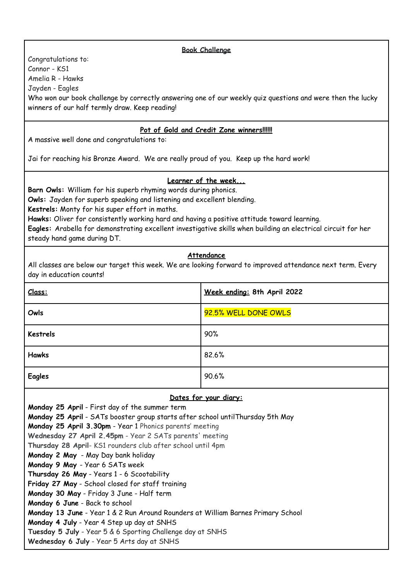#### **Book Challenge**

Congratulations to: Connor - KS1 Amelia R - Hawks Jayden - Eagles Who won our book challenge by correctly answering one of our weekly quiz questions and were then the lucky winners of our half termly draw. Keep reading!

#### **Pot of Gold and Credit Zone winners!!!!!!**

A massive well done and congratulations to:

Jai for reaching his Bronze Award. We are really proud of you. Keep up the hard work!

#### **Learner of the week...**

**Barn Owls:** William for his superb rhyming words during phonics.

**Owls:** Jayden for superb speaking and listening and excellent blending.

**Kestrels:** Monty for his super effort in maths.

**Hawks:** Oliver for consistently working hard and having a positive attitude toward learning.

**Eagles:** Arabella for demonstrating excellent investigative skills when building an electrical circuit for her steady hand game during DT.

#### **Attendance**

All classes are below our target this week. We are looking forward to improved attendance next term. Every day in education counts!

| Class:          | Week ending: 8th April 2022 |
|-----------------|-----------------------------|
| Owls            | 92.5% WELL DONE OWLS        |
| <b>Kestrels</b> | 90%                         |
| <b>Hawks</b>    | 82.6%                       |
| <b>Eagles</b>   | 90.6%                       |

#### **Dates for your diary:**

**Monday 25 April** - First day of the summer term **Monday 25 April** - SATs booster group starts after school untilThursday 5th May **Monday 25 April 3.30pm** - Year 1 Phonics parents' meeting **Wednesday 27 April 2.45pm** - Year 2 SATs parents' meeting **Thursday 28 April**- KS1 rounders club after school until 4pm **Monday 2 May** - May Day bank holiday **Monday 9 May** - Year 6 SATs week **Thursday 26 May** - Years 1 - 6 Scootability **Friday 27 May** - School closed for staff training **Monday 30 May** - Friday 3 June - Half term **Monday 6 June** - Back to school **Monday 13 June** - Year 1 & 2 Run Around Rounders at William Barnes Primary School **Monday 4 July** - Year 4 Step up day at SNHS **Tuesday 5 July** - Year 5 & 6 Sporting Challenge day at SNHS **Wednesday 6 July** - Year 5 Arts day at SNHS